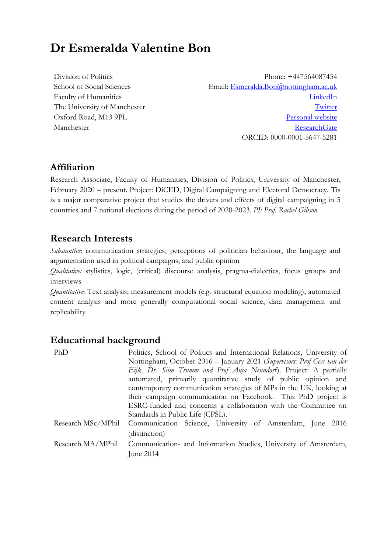# **Dr Esmeralda Valentine Bon**

Division of Politics School of Social Sciences Faculty of Humanities The University of Manchester Oxford Road, M13 9PL Manchester

Phone: +447564087454 Email: [Esmeralda.Bon@nottingham.ac.uk](mailto:Esmeralda.Bon@nottingham.ac.uk) [LinkedIn](https://uk.linkedin.com/in/esmeralda-bon-ab49173a) **[Twitter](https://twitter.com/EsmeraldaVBon)** [Personal website](esmeraldabon.me) [ResearchGate](https://www.researchgate.net/profile/Esmeralda-V-Bon) ORCID: 0000-0001-5647-5281

## **Affiliation**

Research Associate, Faculty of Humanities, Division of Politics, University of Manchester, February 2020 – present. Project: DiCED, Digital Campaigning and Electoral Democracy. Tis is a major comparative project that studies the drivers and effects of digital campaigning in 5 countries and 7 national elections during the period of 2020-2023. *PI: Prof. Rachel Gibson*.

## **Research Interests**

*Substantive*: communication strategies, perceptions of politician behaviour, the language and argumentation used in political campaigns, and public opinion

*Qualitative:* stylistics, logic, (critical) discourse analysis, pragma-dialectics, focus groups and interviews

*Quantitative*: Text analysis; measurement models (e.g. structural equation modeling), automated content analysis and more generally computational social science, data management and replicability

## **Educational background**

| PhD                | Politics, School of Politics and International Relations, University of |  |  |
|--------------------|-------------------------------------------------------------------------|--|--|
|                    | Nottingham, October 2016 - January 2021 (Supervisors: Prof Cees van der |  |  |
|                    | Eijk, Dr. Siim Trumm and Prof Anja Neundorf). Project: A partially      |  |  |
|                    | automated, primarily quantitative study of public opinion and           |  |  |
|                    | contemporary communication strategies of MPs in the UK, looking at      |  |  |
|                    | their campaign communication on Facebook. This PhD project is           |  |  |
|                    | ESRC-funded and concerns a collaboration with the Committee on          |  |  |
|                    | Standards in Public Life (CPSL).                                        |  |  |
| Research MSc/MPhil | Communication Science, University of Amsterdam, June 2016               |  |  |
|                    | (distinction)                                                           |  |  |
| Research MA/MPhil  | Communication- and Information Studies, University of Amsterdam,        |  |  |
|                    | June 2014                                                               |  |  |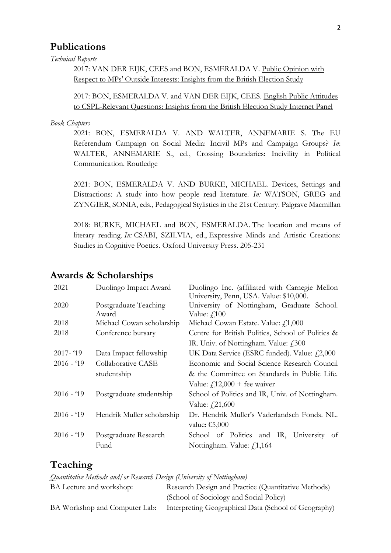## **Publications**

#### *Technical Reports*

2017: VAN DER EIJK, CEES and BON, ESMERALDA V. [Public Opinion with](https://www.gov.uk/government/publications/mps-outside-interests-british-election-study-research)  [Respect to MPs' Outside Interests: Insights from the British Election Study](https://www.gov.uk/government/publications/mps-outside-interests-british-election-study-research)

2017: BON, ESMERALDA V. and VAN DER EIJK, CEES. [English Public Attitudes](https://nottingham-repository.worktribe.com/output/2233620/english-public-attitudes-to-cspl-relevant-questions-insights-from-the-british-election-study-internet-panel)  [to CSPL-Relevant Questions: Insights from the British Election Study Internet Panel](https://nottingham-repository.worktribe.com/output/2233620/english-public-attitudes-to-cspl-relevant-questions-insights-from-the-british-election-study-internet-panel)

#### *Book Chapters*

2021: BON, ESMERALDA V. AND WALTER, ANNEMARIE S. The EU Referendum Campaign on Social Media: Incivil MPs and Campaign Groups? *In*: WALTER, ANNEMARIE S., ed., Crossing Boundaries: Incivility in Political Communication. Routledge

2021: BON, ESMERALDA V. AND BURKE, MICHAEL. Devices, Settings and Distractions: A study into how people read literature. *In:* WATSON, GREG and ZYNGIER, SONIA, eds., Pedagogical Stylistics in the 21st Century. Palgrave Macmillan

2018: BURKE, MICHAEL and BON, ESMERALDA. The location and means of literary reading. *In:* CSABI, SZILVIA, ed., Expressive Minds and Artistic Creations: Studies in Cognitive Poetics. Oxford University Press. 205-231

#### **Awards & Scholarships**

| 2021        | Duolingo Impact Award          | Duolingo Inc. (affiliated with Carnegie Mellon<br>University, Penn, USA. Value: \$10,000. |
|-------------|--------------------------------|-------------------------------------------------------------------------------------------|
| 2020        | Postgraduate Teaching<br>Award | University of Nottingham, Graduate School.<br>Value: $f$ 100                              |
| 2018        | Michael Cowan scholarship      | Michael Cowan Estate. Value: $f1,000$                                                     |
| 2018        | Conference bursary             | Centre for British Politics, School of Politics &                                         |
|             |                                | IR. Univ. of Nottingham. Value: £300                                                      |
| $2017 - 19$ | Data Impact fellowship         | UK Data Service (ESRC funded). Value: £2,000                                              |
| $2016 - 19$ | Collaborative CASE             | Economic and Social Science Research Council                                              |
|             | studentship                    | & the Committee on Standards in Public Life.                                              |
|             |                                | Value: $f12,000$ + fee waiver                                                             |
| $2016 - 19$ | Postgraduate studentship       | School of Politics and IR, Univ. of Nottingham.                                           |
|             |                                | Value: £21,600                                                                            |
| $2016 - 19$ | Hendrik Muller scholarship     | Dr. Hendrik Muller's Vaderlandsch Fonds. NL.                                              |
|             |                                | value: €5,000                                                                             |
| $2016 - 19$ | Postgraduate Research          | School of Politics and IR, University<br>of                                               |
|             | Fund                           | Nottingham. Value: £1,164                                                                 |

## **Teaching**

*Quantitative Methods and/or Research Design (University of Nottingham)*

| BA Lecture and workshop: | Research Design and Practice (Quantitative Methods)                                |  |
|--------------------------|------------------------------------------------------------------------------------|--|
|                          | (School of Sociology and Social Policy)                                            |  |
|                          | BA Workshop and Computer Lab: Interpreting Geographical Data (School of Geography) |  |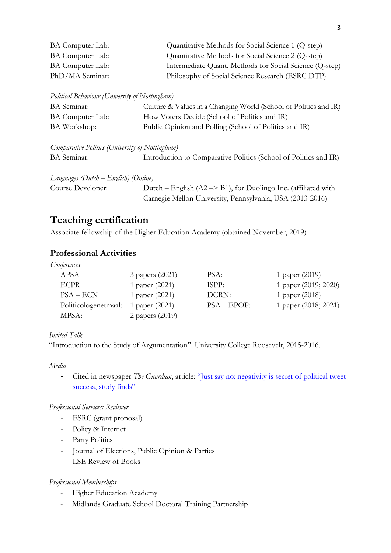| BA Computer Lab: | Quantitative Methods for Social Science 1 (Q-step)      |
|------------------|---------------------------------------------------------|
| BA Computer Lab: | Quantitative Methods for Social Science 2 (Q-step)      |
| BA Computer Lab: | Intermediate Quant. Methods for Social Science (Q-step) |
| PhD/MA Seminar:  | Philosophy of Social Science Research (ESRC DTP)        |

*Political Behaviour (University of Nottingham)*

| BA Seminar:      | Culture & Values in a Changing World (School of Politics and IR) |
|------------------|------------------------------------------------------------------|
| BA Computer Lab: | How Voters Decide (School of Politics and IR)                    |
| BA Workshop:     | Public Opinion and Polling (School of Politics and IR)           |

*Comparative Politics (University of Nottingham)* BA Seminar: Introduction to Comparative Politics (School of Politics and IR)

*Languages (Dutch – English) (Online)* Course Developer: Dutch – English (A2 –> B1), for Duolingo Inc. (affiliated with Carnegie Mellon University, Pennsylvania, USA (2013-2016)

## **Teaching certification**

Associate fellowship of the Higher Education Academy (obtained November, 2019)

### **Professional Activities**

*Conferences*

| APSA                 | 3 papers (2021) | PSA:          | 1 paper $(2019)$     |
|----------------------|-----------------|---------------|----------------------|
| <b>ECPR</b>          | 1 paper (2021)  | ISPP:         | 1 paper (2019; 2020) |
| $PSA - ECN$          | 1 paper (2021)  | DCRN:         | 1 paper (2018)       |
| Politicologenetmaal: | 1 paper (2021)  | $PSA - EPOP:$ | 1 paper (2018; 2021) |
| MPSA:                | 2 papers (2019) |               |                      |

#### *Invited Talk*

"Introduction to the Study of Argumentation". University College Roosevelt, 2015-2016.

*Media*

Cited in newspaper *The Guardian*, article: "Just say no: negativity is secret of political tweet [success, study finds"](https://www.theguardian.com/technology/2021/apr/13/just-say-no-negativity-is-secret-of-political-tweet-success-study-finds)

#### *Professional Services: Reviewer*

- ESRC (grant proposal)
- Policy & Internet
- Party Politics
- Journal of Elections, Public Opinion & Parties
- LSE Review of Books

#### *Professional Memberships*

- Higher Education Academy
- Midlands Graduate School Doctoral Training Partnership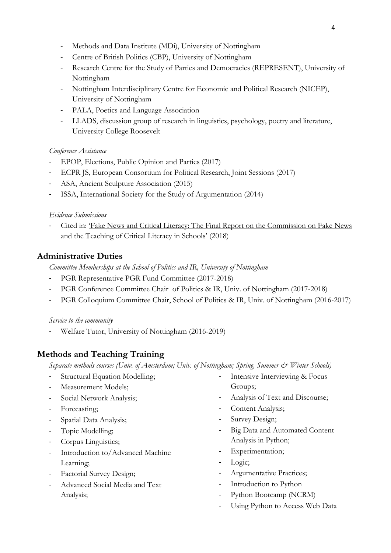- Methods and Data Institute (MDi), University of Nottingham
- Centre of British Politics (CBP), University of Nottingham
- Research Centre for the Study of Parties and Democracies (REPRESENT), University of Nottingham
- Nottingham Interdisciplinary Centre for Economic and Political Research (NICEP), University of Nottingham
- PALA, Poetics and Language Association
- LLADS, discussion group of research in linguistics, psychology, poetry and literature, University College Roosevelt

#### *Conference Assistance*

- EPOP, Elections, Public Opinion and Parties (2017)
- ECPR JS, European Consortium for Political Research, Joint Sessions (2017)
- ASA, Ancient Sculpture Association (2015)
- ISSA, International Society for the Study of Argumentation (2014)

#### *Evidence Submissions*

Cited in: 'Fake News and Critical Literacy: The Final Report on the Commission on Fake News [and the Teaching of Critical Literacy in Schools'](https://literacytrust.org.uk/research-services/research-reports/fake-news-and-critical-literacy-final-report/) (2018)

#### **Administrative Duties**

*Committee Memberships at the School of Politics and IR, University of Nottingham*

- PGR Representative PGR Fund Committee (2017-2018)
- PGR Conference Committee Chair of Politics & IR, Univ. of Nottingham (2017-2018)
- PGR Colloquium Committee Chair, School of Politics & IR, Univ. of Nottingham (2016-2017)

*Service to the community*

Welfare Tutor, University of Nottingham (2016-2019)

### **Methods and Teaching Training**

*Separate methods courses (Univ. of Amsterdam; Univ. of Nottingham; Spring, Summer & Winter Schools)*

- Structural Equation Modelling;
- Measurement Models;
- Social Network Analysis;
- Forecasting;
- Spatial Data Analysis;
- Topic Modelling;
- Corpus Linguistics;
- Introduction to/Advanced Machine Learning;
- Factorial Survey Design;
- Advanced Social Media and Text Analysis;
- Intensive Interviewing & Focus Groups;
- Analysis of Text and Discourse;
- Content Analysis;
- Survey Design;
- Big Data and Automated Content Analysis in Python;
- Experimentation;
- Logic;
- Argumentative Practices;
- Introduction to Python
- Python Bootcamp (NCRM)
- Using Python to Access Web Data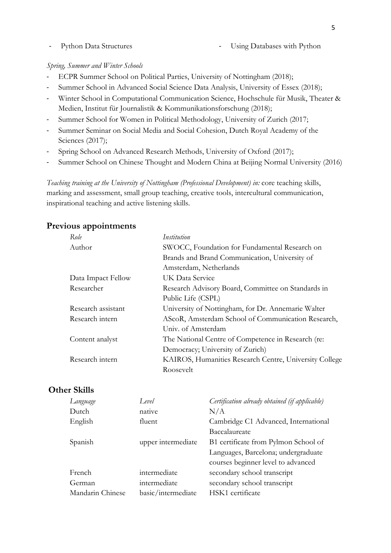#### - Python Data Structures - Using Databases with Python

#### *Spring, Summer and Winter Schools*

- ECPR Summer School on Political Parties, University of Nottingham (2018);
- Summer School in Advanced Social Science Data Analysis, University of Essex (2018);
- Winter School in Computational Communication Science, Hochschule für Musik, Theater & Medien, Institut für Journalistik & Kommunikationsforschung (2018);
- Summer School for Women in Political Methodology, University of Zurich (2017;
- Summer Seminar on Social Media and Social Cohesion, Dutch Royal Academy of the Sciences (2017);
- Spring School on Advanced Research Methods, University of Oxford (2017);
- Summer School on Chinese Thought and Modern China at Beijing Normal University (2016)

*Teaching training at the University of Nottingham (Professional Development) in:* core teaching skills, marking and assessment, small group teaching, creative tools, intercultural communication, inspirational teaching and active listening skills.

#### **Previous appointments**

| Role               | Institution                                            |
|--------------------|--------------------------------------------------------|
| Author             | SWOCC, Foundation for Fundamental Research on          |
|                    | Brands and Brand Communication, University of          |
|                    | Amsterdam, Netherlands                                 |
| Data Impact Fellow | UK Data Service                                        |
| Researcher         | Research Advisory Board, Committee on Standards in     |
|                    | Public Life (CSPL)                                     |
| Research assistant | University of Nottingham, for Dr. Annemarie Walter     |
| Research intern    | AScoR, Amsterdam School of Communication Research,     |
|                    | Univ. of Amsterdam                                     |
| Content analyst    | The National Centre of Competence in Research (re:     |
|                    | Democracy; University of Zurich)                       |
| Research intern    | KAIROS, Humanities Research Centre, University College |
|                    | Roosevelt                                              |

#### **Other Skills**

| Language         | Level              | Certification already obtained (if applicable) |
|------------------|--------------------|------------------------------------------------|
| Dutch            | native             | N/A                                            |
| English          | fluent             | Cambridge C1 Advanced, International           |
|                  |                    | Baccalaureate                                  |
| Spanish          | upper intermediate | B1 certificate from Pylmon School of           |
|                  |                    | Languages, Barcelona; undergraduate            |
|                  |                    | courses beginner level to advanced             |
| French           | intermediate       | secondary school transcript                    |
| German           | intermediate       | secondary school transcript                    |
| Mandarin Chinese | basic/intermediate | HSK1 certificate                               |